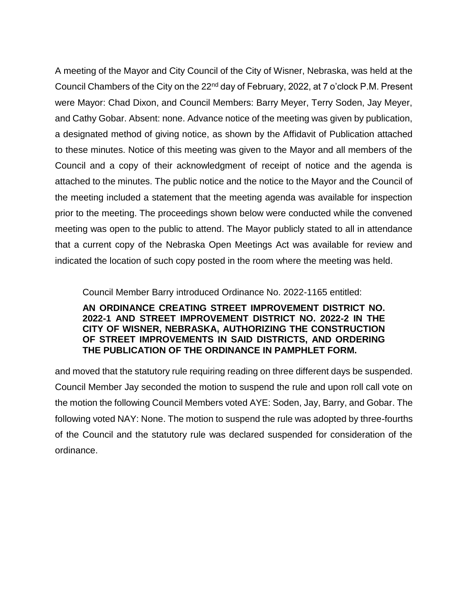A meeting of the Mayor and City Council of the City of Wisner, Nebraska, was held at the Council Chambers of the City on the 22<sup>nd</sup> day of February, 2022, at 7 o'clock P.M. Present were Mayor: Chad Dixon, and Council Members: Barry Meyer, Terry Soden, Jay Meyer, and Cathy Gobar. Absent: none. Advance notice of the meeting was given by publication, a designated method of giving notice, as shown by the Affidavit of Publication attached to these minutes. Notice of this meeting was given to the Mayor and all members of the Council and a copy of their acknowledgment of receipt of notice and the agenda is attached to the minutes. The public notice and the notice to the Mayor and the Council of the meeting included a statement that the meeting agenda was available for inspection prior to the meeting. The proceedings shown below were conducted while the convened meeting was open to the public to attend. The Mayor publicly stated to all in attendance that a current copy of the Nebraska Open Meetings Act was available for review and indicated the location of such copy posted in the room where the meeting was held.

Council Member Barry introduced Ordinance No. 2022-1165 entitled: **AN ORDINANCE CREATING STREET IMPROVEMENT DISTRICT NO. 2022-1 AND STREET IMPROVEMENT DISTRICT NO. 2022-2 IN THE CITY OF WISNER, NEBRASKA, AUTHORIZING THE CONSTRUCTION OF STREET IMPROVEMENTS IN SAID DISTRICTS, AND ORDERING THE PUBLICATION OF THE ORDINANCE IN PAMPHLET FORM.** 

and moved that the statutory rule requiring reading on three different days be suspended. Council Member Jay seconded the motion to suspend the rule and upon roll call vote on the motion the following Council Members voted AYE: Soden, Jay, Barry, and Gobar. The following voted NAY: None. The motion to suspend the rule was adopted by three-fourths of the Council and the statutory rule was declared suspended for consideration of the ordinance.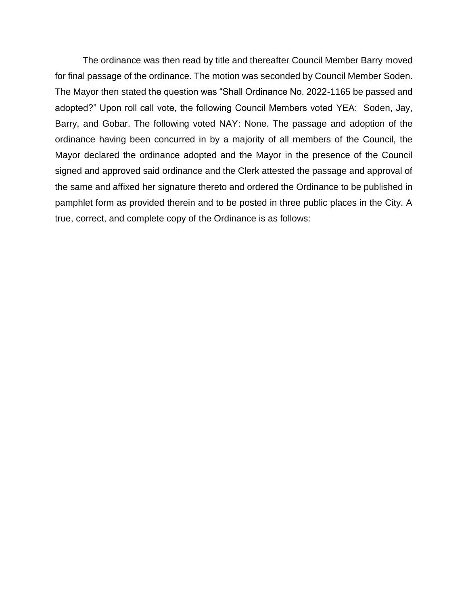The ordinance was then read by title and thereafter Council Member Barry moved for final passage of the ordinance. The motion was seconded by Council Member Soden. The Mayor then stated the question was "Shall Ordinance No. 2022-1165 be passed and adopted?" Upon roll call vote, the following Council Members voted YEA: Soden, Jay, Barry, and Gobar. The following voted NAY: None. The passage and adoption of the ordinance having been concurred in by a majority of all members of the Council, the Mayor declared the ordinance adopted and the Mayor in the presence of the Council signed and approved said ordinance and the Clerk attested the passage and approval of the same and affixed her signature thereto and ordered the Ordinance to be published in pamphlet form as provided therein and to be posted in three public places in the City. A true, correct, and complete copy of the Ordinance is as follows: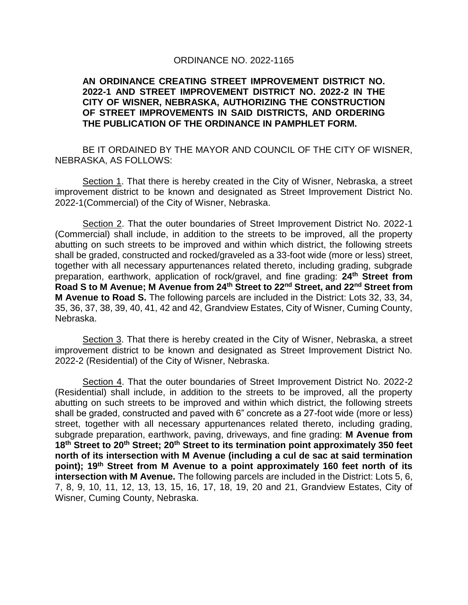## ORDINANCE NO. 2022-1165

## **AN ORDINANCE CREATING STREET IMPROVEMENT DISTRICT NO. 2022-1 AND STREET IMPROVEMENT DISTRICT NO. 2022-2 IN THE CITY OF WISNER, NEBRASKA, AUTHORIZING THE CONSTRUCTION OF STREET IMPROVEMENTS IN SAID DISTRICTS, AND ORDERING THE PUBLICATION OF THE ORDINANCE IN PAMPHLET FORM.**

BE IT ORDAINED BY THE MAYOR AND COUNCIL OF THE CITY OF WISNER, NEBRASKA, AS FOLLOWS:

Section 1. That there is hereby created in the City of Wisner, Nebraska, a street improvement district to be known and designated as Street Improvement District No. 2022-1(Commercial) of the City of Wisner, Nebraska.

Section 2. That the outer boundaries of Street Improvement District No. 2022-1 (Commercial) shall include, in addition to the streets to be improved, all the property abutting on such streets to be improved and within which district, the following streets shall be graded, constructed and rocked/graveled as a 33-foot wide (more or less) street, together with all necessary appurtenances related thereto, including grading, subgrade preparation, earthwork, application of rock/gravel, and fine grading: **24th Street from Road S to M Avenue; M Avenue from 24th Street to 22nd Street, and 22nd Street from M Avenue to Road S.** The following parcels are included in the District: Lots 32, 33, 34, 35, 36, 37, 38, 39, 40, 41, 42 and 42, Grandview Estates, City of Wisner, Cuming County, Nebraska.

Section 3. That there is hereby created in the City of Wisner, Nebraska, a street improvement district to be known and designated as Street Improvement District No. 2022-2 (Residential) of the City of Wisner, Nebraska.

Section 4. That the outer boundaries of Street Improvement District No. 2022-2 (Residential) shall include, in addition to the streets to be improved, all the property abutting on such streets to be improved and within which district, the following streets shall be graded, constructed and paved with 6" concrete as a 27-foot wide (more or less) street, together with all necessary appurtenances related thereto, including grading, subgrade preparation, earthwork, paving, driveways, and fine grading: **M Avenue from 18th Street to 20th Street; 20th Street to its termination point approximately 350 feet north of its intersection with M Avenue (including a cul de sac at said termination point); 19th Street from M Avenue to a point approximately 160 feet north of its intersection with M Avenue.** The following parcels are included in the District: Lots 5, 6, 7, 8, 9, 10, 11, 12, 13, 13, 15, 16, 17, 18, 19, 20 and 21, Grandview Estates, City of Wisner, Cuming County, Nebraska.